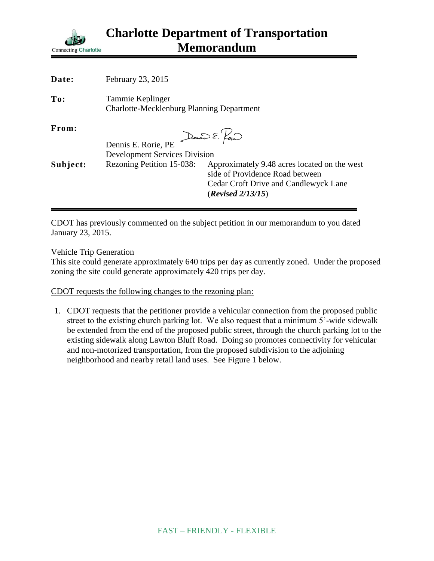

| Date:    | February 23, 2015                                                             |                                                                                                                                                      |
|----------|-------------------------------------------------------------------------------|------------------------------------------------------------------------------------------------------------------------------------------------------|
| To:      | Tammie Keplinger<br><b>Charlotte-Mecklenburg Planning Department</b>          |                                                                                                                                                      |
| From:    | Dennis E. Pour<br>Dennis E. Rorie, PE<br><b>Development Services Division</b> |                                                                                                                                                      |
| Subject: | Rezoning Petition 15-038:                                                     | Approximately 9.48 acres located on the west<br>side of Providence Road between<br><b>Cedar Croft Drive and Candlewyck Lane</b><br>(Revised 2/13/15) |

CDOT has previously commented on the subject petition in our memorandum to you dated January 23, 2015.

Vehicle Trip Generation

This site could generate approximately 640 trips per day as currently zoned. Under the proposed zoning the site could generate approximately 420 trips per day.

CDOT requests the following changes to the rezoning plan:

1. CDOT requests that the petitioner provide a vehicular connection from the proposed public street to the existing church parking lot. We also request that a minimum 5'-wide sidewalk be extended from the end of the proposed public street, through the church parking lot to the existing sidewalk along Lawton Bluff Road. Doing so promotes connectivity for vehicular and non-motorized transportation, from the proposed subdivision to the adjoining neighborhood and nearby retail land uses. See Figure 1 below.